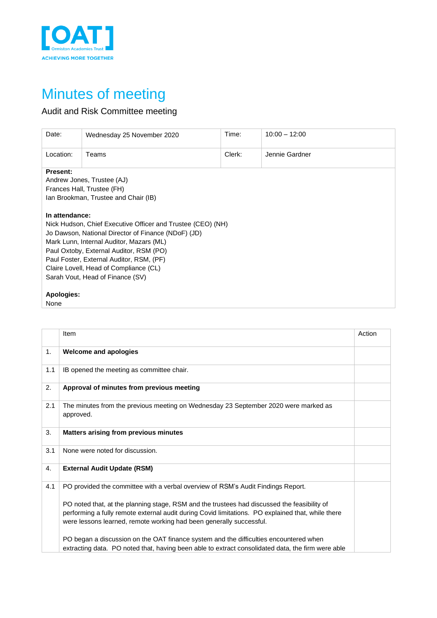

## Minutes of meeting

## Audit and Risk Committee meeting

| Date:                                                                                                                                                                                                                                                                                                                                                 | Wednesday 25 November 2020 | Time:  | $10:00 - 12:00$ |  |  |  |
|-------------------------------------------------------------------------------------------------------------------------------------------------------------------------------------------------------------------------------------------------------------------------------------------------------------------------------------------------------|----------------------------|--------|-----------------|--|--|--|
| Location:                                                                                                                                                                                                                                                                                                                                             | Teams                      | Clerk: | Jennie Gardner  |  |  |  |
| <b>Present:</b><br>Andrew Jones, Trustee (AJ)<br>Frances Hall, Trustee (FH)<br>Ian Brookman, Trustee and Chair (IB)                                                                                                                                                                                                                                   |                            |        |                 |  |  |  |
| In attendance:<br>Nick Hudson, Chief Executive Officer and Trustee (CEO) (NH)<br>Jo Dawson, National Director of Finance (NDoF) (JD)<br>Mark Lunn, Internal Auditor, Mazars (ML)<br>Paul Oxtoby, External Auditor, RSM (PO)<br>Paul Foster, External Auditor, RSM, (PF)<br>Claire Lovell, Head of Compliance (CL)<br>Sarah Vout, Head of Finance (SV) |                            |        |                 |  |  |  |
| Apologies:<br>None                                                                                                                                                                                                                                                                                                                                    |                            |        |                 |  |  |  |

|     | Item                                                                                                                                                                                                                                                                    | Action |
|-----|-------------------------------------------------------------------------------------------------------------------------------------------------------------------------------------------------------------------------------------------------------------------------|--------|
| 1.  | <b>Welcome and apologies</b>                                                                                                                                                                                                                                            |        |
| 1.1 | IB opened the meeting as committee chair.                                                                                                                                                                                                                               |        |
| 2.  | Approval of minutes from previous meeting                                                                                                                                                                                                                               |        |
| 2.1 | The minutes from the previous meeting on Wednesday 23 September 2020 were marked as<br>approved.                                                                                                                                                                        |        |
| 3.  | <b>Matters arising from previous minutes</b>                                                                                                                                                                                                                            |        |
| 3.1 | None were noted for discussion.                                                                                                                                                                                                                                         |        |
| 4.  | <b>External Audit Update (RSM)</b>                                                                                                                                                                                                                                      |        |
| 4.1 | PO provided the committee with a verbal overview of RSM's Audit Findings Report.                                                                                                                                                                                        |        |
|     | PO noted that, at the planning stage, RSM and the trustees had discussed the feasibility of<br>performing a fully remote external audit during Covid limitations. PO explained that, while there<br>were lessons learned, remote working had been generally successful. |        |
|     | PO began a discussion on the OAT finance system and the difficulties encountered when<br>extracting data. PO noted that, having been able to extract consolidated data, the firm were able                                                                              |        |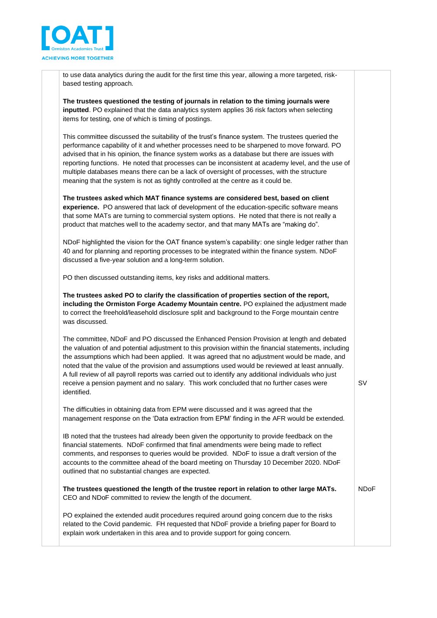

to use data analytics during the audit for the first time this year, allowing a more targeted, riskbased testing approach.

**The trustees questioned the testing of journals in relation to the timing journals were inputted**. PO explained that the data analytics system applies 36 risk factors when selecting items for testing, one of which is timing of postings.

This committee discussed the suitability of the trust's finance system. The trustees queried the performance capability of it and whether processes need to be sharpened to move forward. PO advised that in his opinion, the finance system works as a database but there are issues with reporting functions. He noted that processes can be inconsistent at academy level, and the use of multiple databases means there can be a lack of oversight of processes, with the structure meaning that the system is not as tightly controlled at the centre as it could be.

**The trustees asked which MAT finance systems are considered best, based on client experience.** PO answered that lack of development of the education-specific software means that some MATs are turning to commercial system options. He noted that there is not really a product that matches well to the academy sector, and that many MATs are "making do".

NDoF highlighted the vision for the OAT finance system's capability: one single ledger rather than 40 and for planning and reporting processes to be integrated within the finance system. NDoF discussed a five-year solution and a long-term solution.

PO then discussed outstanding items, key risks and additional matters.

**The trustees asked PO to clarify the classification of properties section of the report, including the Ormiston Forge Academy Mountain centre.** PO explained the adjustment made to correct the freehold/leasehold disclosure split and background to the Forge mountain centre was discussed.

The committee, NDoF and PO discussed the Enhanced Pension Provision at length and debated the valuation of and potential adjustment to this provision within the financial statements, including the assumptions which had been applied. It was agreed that no adjustment would be made, and noted that the value of the provision and assumptions used would be reviewed at least annually. A full review of all payroll reports was carried out to identify any additional individuals who just receive a pension payment and no salary. This work concluded that no further cases were identified.

SV

The difficulties in obtaining data from EPM were discussed and it was agreed that the management response on the 'Data extraction from EPM' finding in the AFR would be extended.

IB noted that the trustees had already been given the opportunity to provide feedback on the financial statements. NDoF confirmed that final amendments were being made to reflect comments, and responses to queries would be provided. NDoF to issue a draft version of the accounts to the committee ahead of the board meeting on Thursday 10 December 2020. NDoF outlined that no substantial changes are expected.

**The trustees questioned the length of the trustee report in relation to other large MATs.**  CEO and NDoF committed to review the length of the document. NDoF

PO explained the extended audit procedures required around going concern due to the risks related to the Covid pandemic. FH requested that NDoF provide a briefing paper for Board to explain work undertaken in this area and to provide support for going concern.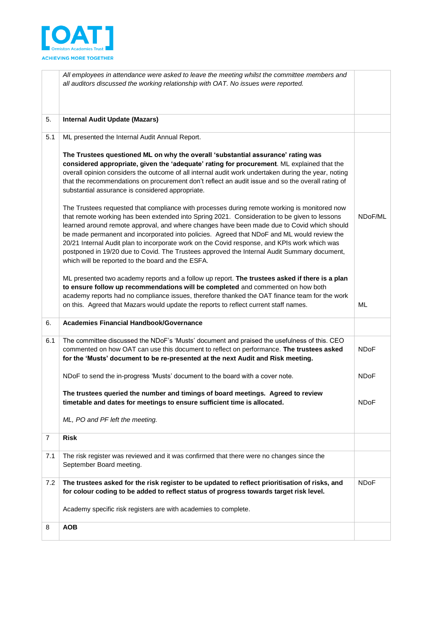

|                | All employees in attendance were asked to leave the meeting whilst the committee members and<br>all auditors discussed the working relationship with OAT. No issues were reported.                                                                                                                                                                                                                                                                                                                                                                                                                                                           |             |
|----------------|----------------------------------------------------------------------------------------------------------------------------------------------------------------------------------------------------------------------------------------------------------------------------------------------------------------------------------------------------------------------------------------------------------------------------------------------------------------------------------------------------------------------------------------------------------------------------------------------------------------------------------------------|-------------|
| 5.             | <b>Internal Audit Update (Mazars)</b>                                                                                                                                                                                                                                                                                                                                                                                                                                                                                                                                                                                                        |             |
| 5.1            | ML presented the Internal Audit Annual Report.                                                                                                                                                                                                                                                                                                                                                                                                                                                                                                                                                                                               |             |
|                | The Trustees questioned ML on why the overall 'substantial assurance' rating was<br>considered appropriate, given the 'adequate' rating for procurement. ML explained that the<br>overall opinion considers the outcome of all internal audit work undertaken during the year, noting<br>that the recommendations on procurement don't reflect an audit issue and so the overall rating of<br>substantial assurance is considered appropriate.                                                                                                                                                                                               |             |
|                | The Trustees requested that compliance with processes during remote working is monitored now<br>that remote working has been extended into Spring 2021. Consideration to be given to lessons<br>learned around remote approval, and where changes have been made due to Covid which should<br>be made permanent and incorporated into policies. Agreed that NDoF and ML would review the<br>20/21 Internal Audit plan to incorporate work on the Covid response, and KPIs work which was<br>postponed in 19/20 due to Covid. The Trustees approved the Internal Audit Summary document,<br>which will be reported to the board and the ESFA. | NDoF/ML     |
|                | ML presented two academy reports and a follow up report. The trustees asked if there is a plan<br>to ensure follow up recommendations will be completed and commented on how both<br>academy reports had no compliance issues, therefore thanked the OAT finance team for the work<br>on this. Agreed that Mazars would update the reports to reflect current staff names.                                                                                                                                                                                                                                                                   | ML          |
| 6.             | <b>Academies Financial Handbook/Governance</b>                                                                                                                                                                                                                                                                                                                                                                                                                                                                                                                                                                                               |             |
| 6.1            | The committee discussed the NDoF's 'Musts' document and praised the usefulness of this. CEO<br>commented on how OAT can use this document to reflect on performance. The trustees asked<br>for the 'Musts' document to be re-presented at the next Audit and Risk meeting.                                                                                                                                                                                                                                                                                                                                                                   | <b>NDoF</b> |
|                | NDoF to send the in-progress 'Musts' document to the board with a cover note.                                                                                                                                                                                                                                                                                                                                                                                                                                                                                                                                                                | <b>NDoF</b> |
|                | The trustees queried the number and timings of board meetings. Agreed to review<br>timetable and dates for meetings to ensure sufficient time is allocated.                                                                                                                                                                                                                                                                                                                                                                                                                                                                                  | <b>NDoF</b> |
|                | ML, PO and PF left the meeting.                                                                                                                                                                                                                                                                                                                                                                                                                                                                                                                                                                                                              |             |
| $\overline{7}$ | <b>Risk</b>                                                                                                                                                                                                                                                                                                                                                                                                                                                                                                                                                                                                                                  |             |
| 7.1            | The risk register was reviewed and it was confirmed that there were no changes since the<br>September Board meeting.                                                                                                                                                                                                                                                                                                                                                                                                                                                                                                                         |             |
| 7.2            | The trustees asked for the risk register to be updated to reflect prioritisation of risks, and<br>for colour coding to be added to reflect status of progress towards target risk level.                                                                                                                                                                                                                                                                                                                                                                                                                                                     | <b>NDoF</b> |
|                | Academy specific risk registers are with academies to complete.                                                                                                                                                                                                                                                                                                                                                                                                                                                                                                                                                                              |             |
| 8              | <b>AOB</b>                                                                                                                                                                                                                                                                                                                                                                                                                                                                                                                                                                                                                                   |             |